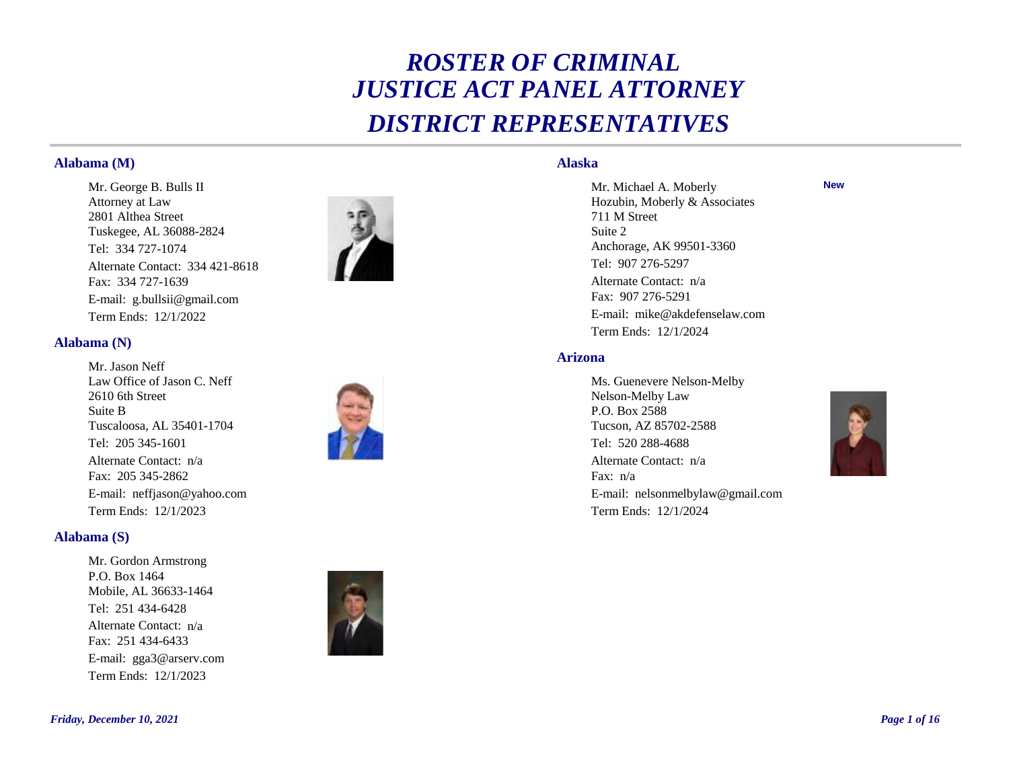# *ROSTER OF CRIMINAL JUSTICE ACT PANEL ATTORNEY DISTRICT REPRESENTATIVES*

#### **Alabama (M)**

Tel: 334 727-1074 Fax: 334 727-1639 E-mail: g.bullsii@gmail.com Term Ends: 12/1/2022 Mr. George B. Bulls II Attorney at Law 2801 Althea Street Tuskegee, AL 36088-2824 Alternate Contact: 334 421-8618



#### **Alabama (N)**

Tel: 205 345-1601 Fax: 205 345-2862 E-mail: neffjason@yahoo.com Term Ends: 12/1/2023 Mr. Jason Neff Law Office of Jason C. Neff 2610 6th Street Suite B Tuscaloosa, AL 35401-1704 Alternate Contact: n/a



## **Alabama (S)**

Tel: 251 434-6428 Fax: 251 434-6433 E-mail: gga3@arserv.com Term Ends: 12/1/2023 Mr. Gordon Armstrong P.O. Box 1464 Mobile, AL 36633-1464 Alternate Contact: n/a



## **Alaska**

Tel: 907 276-5297 Fax: 907 276-5291 E-mail: mike@akdefenselaw.com Term Ends: 12/1/2024 Mr. Michael A. Moberly Hozubin, Moberly & Associates 711 M Street Suite 2 Anchorage, AK 99501-3360 Alternate Contact: n/a

#### **Arizona**

Tel: 520 288-4688 Fax: n/a E-mail: nelsonmelbylaw@gmail.com Term Ends: 12/1/2024 Ms. Guenevere Nelson-Melby Nelson-Melby Law P.O. Box 2588 Tucson, AZ 85702-2588 Alternate Contact: n/a



**New**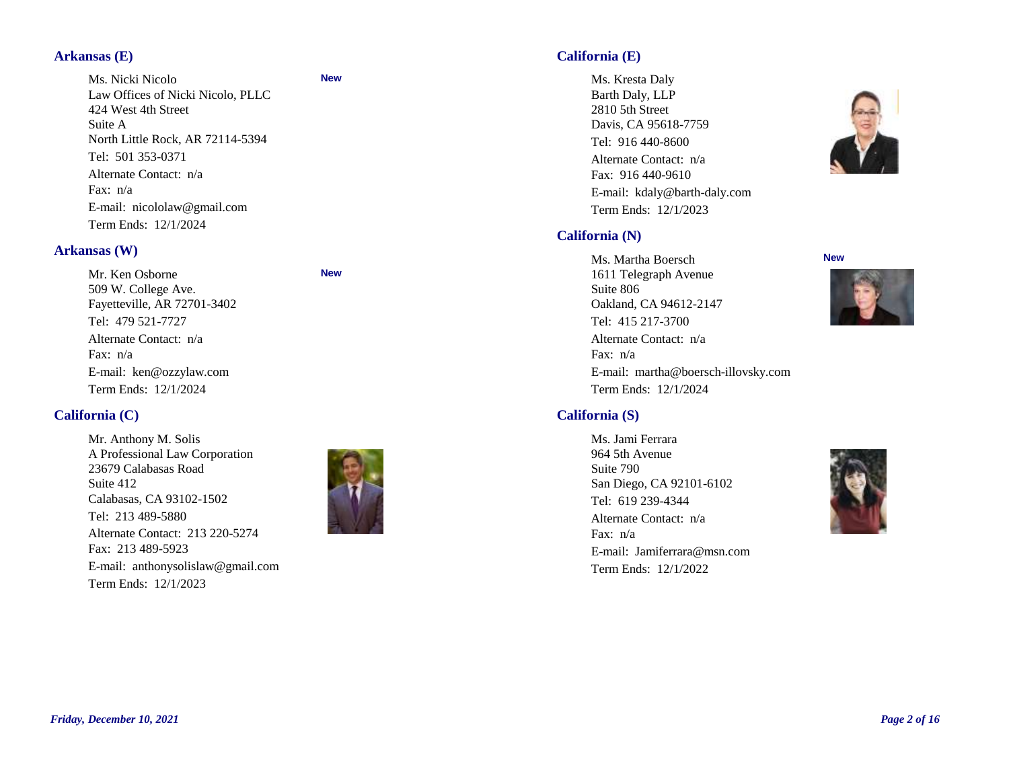## **Arkansas (E)**

Tel: 501 353-0371 Fax: n/a E-mail: nicololaw@gmail.com Term Ends: 12/1/2024 Ms. Nicki Nicolo Law Offices of Nicki Nicolo, PLLC 424 West 4th Street Suite A North Little Rock, AR 72114-5394 Alternate Contact: n/a

#### **Arkansas (W)**

Tel: 479 521-7727 Fax: n/a E-mail: ken@ozzylaw.com Term Ends: 12/1/2024 Mr. Ken Osborne 509 W. College Ave. Fayetteville, AR 72701-3402 Alternate Contact: n/a

## **California (C)**

Tel: 213 489-5880 Fax: 213 489-5923 E-mail: anthonysolislaw@gmail.com Term Ends: 12/1/2023 Mr. Anthony M. Solis A Professional Law Corporation 23679 Calabasas Road Suite 412 Calabasas, CA 93102-1502 Alternate Contact: 213 220-5274



**New**

**New**

## **California (E)**

Tel: 916 440-8600 Fax: 916 440-9610 E-mail: kdaly@barth-daly.com Term Ends: 12/1/2023 Ms. Kresta Daly Barth Daly, LLP 2810 5th Street Davis, CA 95618-7759 Alternate Contact: n/a

## **California (N)**

## Tel: 415 217-3700 Fax: n/a E-mail: martha@boersch-illovsky.com Term Ends: 12/1/2024 Ms. Martha Boersch 1611 Telegraph Avenue Suite 806 Oakland, CA 94612-2147 Alternate Contact: n/a

## **California (S)**

Tel: 619 239-4344 Fax: n/a E-mail: Jamiferrara@msn.com Term Ends: 12/1/2022 Ms. Jami Ferrara 964 5th Avenue Suite 790 San Diego, CA 92101-6102 Alternate Contact: n/a



#### **New**



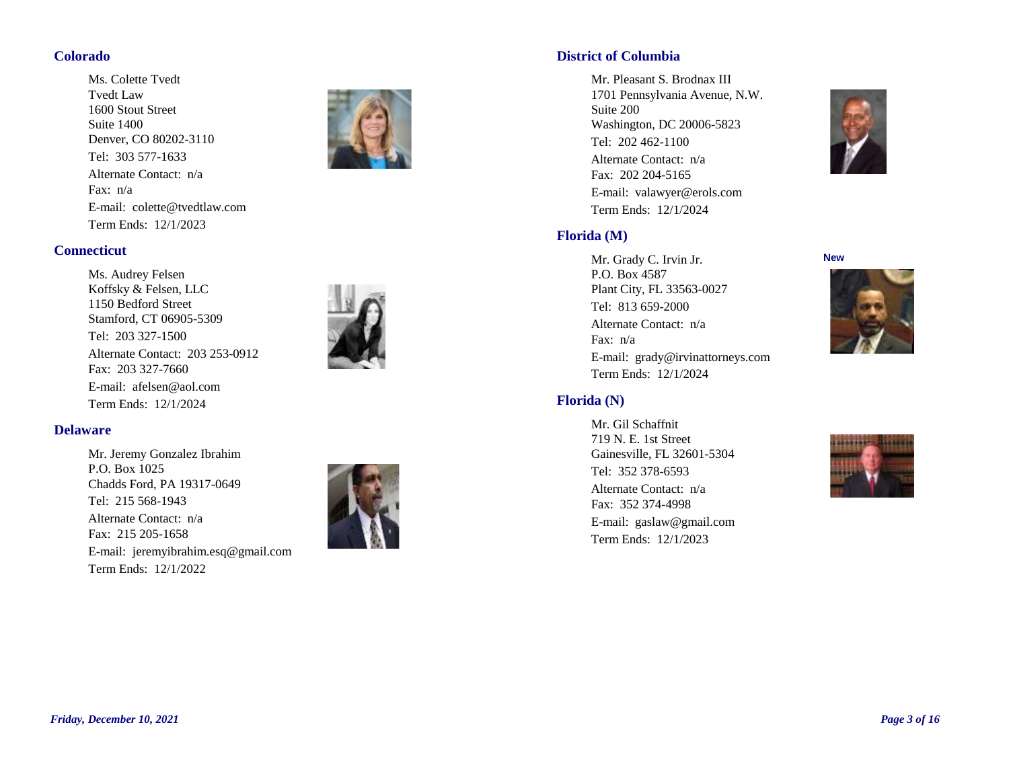### **Colorado**

Tel: 303 577-1633 Fax: n/a E-mail: colette@tvedtlaw.com Term Ends: 12/1/2023 Ms. Colette Tvedt Tvedt Law 1600 Stout Street Suite 1400 Denver, CO 80202-3110 Alternate Contact: n/a



## **Connecticut**

Tel: 203 327-1500 Fax: 203 327-7660 E-mail: afelsen@aol.com Term Ends: 12/1/2024 Ms. Audrey Felsen Koffsky & Felsen, LLC 1150 Bedford Street Stamford, CT 06905-5309 Alternate Contact: 203 253-0912



#### **Delaware**

Tel: 215 568-1943 Fax: 215 205-1658 E-mail: jeremyibrahim.esq@gmail.com Term Ends: 12/1/2022 Mr. Jeremy Gonzalez Ibrahim P.O. Box 1025 Chadds Ford, PA 19317-0649 Alternate Contact: n/a



### **District of Columbia**

Tel: 202 462-1100 Fax: 202 204-5165 E-mail: valawyer@erols.com Term Ends: 12/1/2024 Mr. Pleasant S. Brodnax III 1701 Pennsylvania Avenue, N.W. Suite 200 Washington, DC 20006-5823 Alternate Contact: n/a



#### **New**

Tel: 813 659-2000 Fax: n/a E-mail: grady@irvinattorneys.com Term Ends: 12/1/2024 Mr. Grady C. Irvin Jr. P.O. Box 4587 Plant City, FL 33563-0027 Alternate Contact: n/a

#### **Florida (N)**

**Florida (M)**

Tel: 352 378-6593 Fax: 352 374-4998 E-mail: gaslaw@gmail.com Term Ends: 12/1/2023 Mr. Gil Schaffnit 719 N. E. 1st Street Gainesville, FL 32601-5304 Alternate Contact: n/a





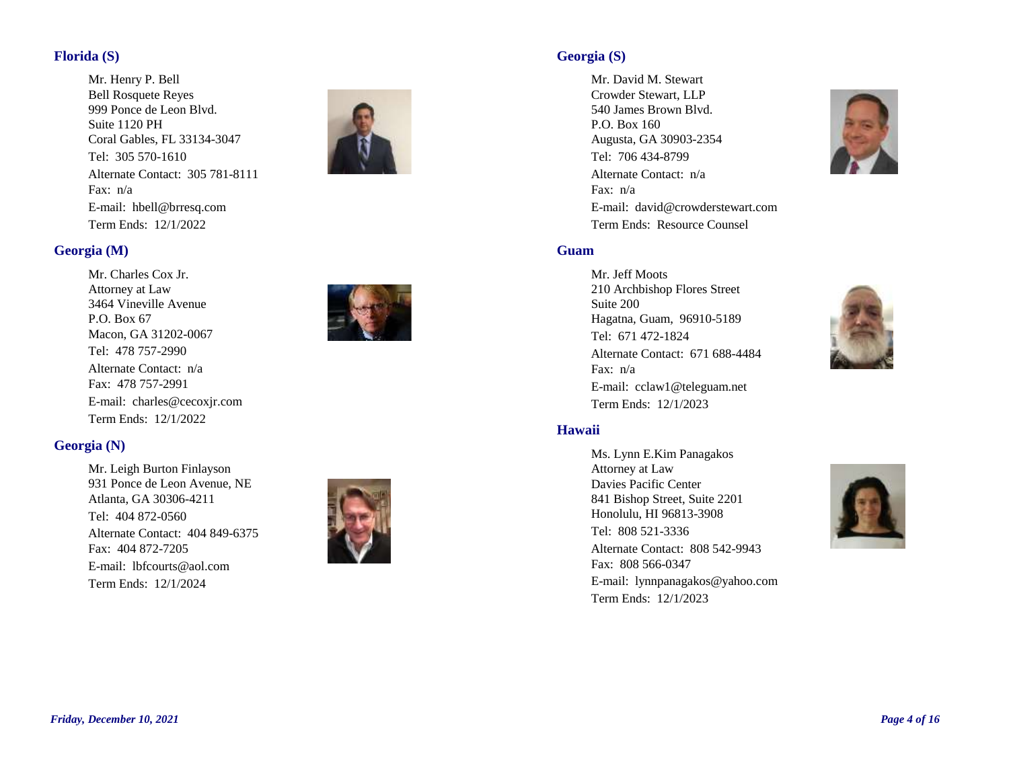## **Florida (S)**

Tel: 305 570-1610 Fax: n/a E-mail: hbell@brresq.com Term Ends: 12/1/2022 Mr. Henry P. Bell Bell Rosquete Reyes 999 Ponce de Leon Blvd. Suite 1120 PH Coral Gables, FL 33134-3047 Alternate Contact: 305 781-8111



## **Georgia (M)**

Tel: 478 757-2990 Fax: 478 757-2991 E-mail: charles@cecoxjr.com Term Ends: 12/1/2022 Mr. Charles Cox Jr. Attorney at Law 3464 Vineville Avenue P.O. Box 67 Macon, GA 31202-0067 Alternate Contact: n/a



## **Georgia (N)**

Tel: 404 872-0560 Fax: 404 872-7205 E-mail: lbfcourts@aol.com Term Ends: 12/1/2024 Mr. Leigh Burton Finlayson 931 Ponce de Leon Avenue, NE Atlanta, GA 30306-4211 Alternate Contact: 404 849-6375



## **Georgia (S)**

Tel: 706 434-8799 Fax: n/a E-mail: david@crowderstewart.com Term Ends: Resource Counsel Mr. David M. Stewart Crowder Stewart, LLP 540 James Brown Blvd. P.O. Box 160 Augusta, GA 30903-2354 Alternate Contact: n/a



## **Guam**

Tel: 671 472-1824 Fax: n/a E-mail: cclaw1@teleguam.net Term Ends: 12/1/2023 Mr. Jeff Moots 210 Archbishop Flores Street Suite 200 Hagatna, Guam, 96910-5189 Alternate Contact: 671 688-4484



#### **Hawaii**

Tel: 808 521-3336 Fax: 808 566-0347 E-mail: lynnpanagakos@yahoo.com Term Ends: 12/1/2023 Ms. Lynn E.Kim Panagakos Attorney at Law Davies Pacific Center 841 Bishop Street, Suite 2201 Honolulu, HI 96813-3908 Alternate Contact: 808 542-9943

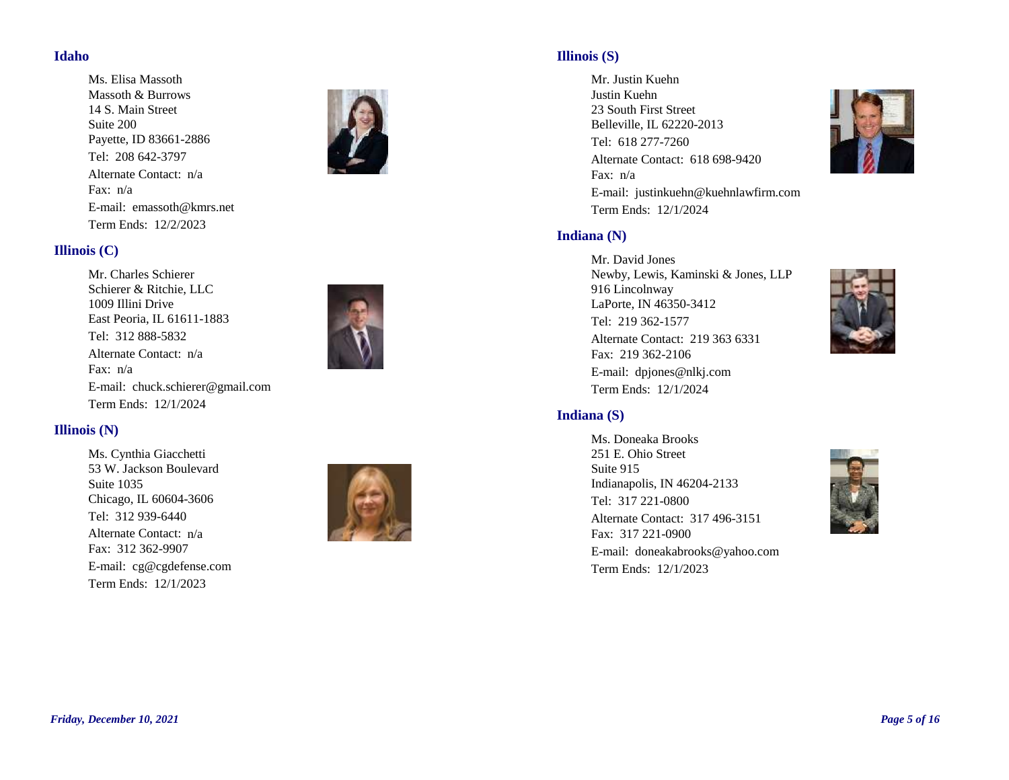#### **Idaho**

Tel: 208 642-3797 Fax: n/a E-mail: emassoth@kmrs.net Term Ends: 12/2/2023 Ms. Elisa Massoth Massoth & Burrows 14 S. Main Street Suite 200 Payette, ID 83661-2886 Alternate Contact: n/a



## **Illinois (C)**

Tel: 312 888-5832 Fax: n/a E-mail: chuck.schierer@gmail.com Term Ends: 12/1/2024 Mr. Charles Schierer Schierer & Ritchie, LLC 1009 Illini Drive East Peoria, IL 61611-1883 Alternate Contact: n/a



## **Illinois (N)**

Tel: 312 939-6440 Fax: 312 362-9907 E-mail: cg@cgdefense.com Term Ends: 12/1/2023 Ms. Cynthia Giacchetti 53 W. Jackson Boulevard Suite 1035 Chicago, IL 60604-3606 Alternate Contact: n/a



## **Illinois (S)**

Tel: 618 277-7260 Fax: n/a E-mail: justinkuehn@kuehnlawfirm.com Term Ends: 12/1/2024 Mr. Justin Kuehn Justin Kuehn 23 South First Street Belleville, IL 62220-2013 Alternate Contact: 618 698-9420



Tel: 219 362-1577 Fax: 219 362-2106 E-mail: dpjones@nlkj.com Term Ends: 12/1/2024 Mr. David Jones Newby, Lewis, Kaminski & Jones, LLP 916 Lincolnway LaPorte, IN 46350-3412 Alternate Contact: 219 363 6331



#### **Indiana (S)**

Tel: 317 221-0800 Fax: 317 221-0900 E-mail: doneakabrooks@yahoo.com Term Ends: 12/1/2023 Ms. Doneaka Brooks 251 E. Ohio Street Suite 915 Indianapolis, IN 46204-2133 Alternate Contact: 317 496-3151

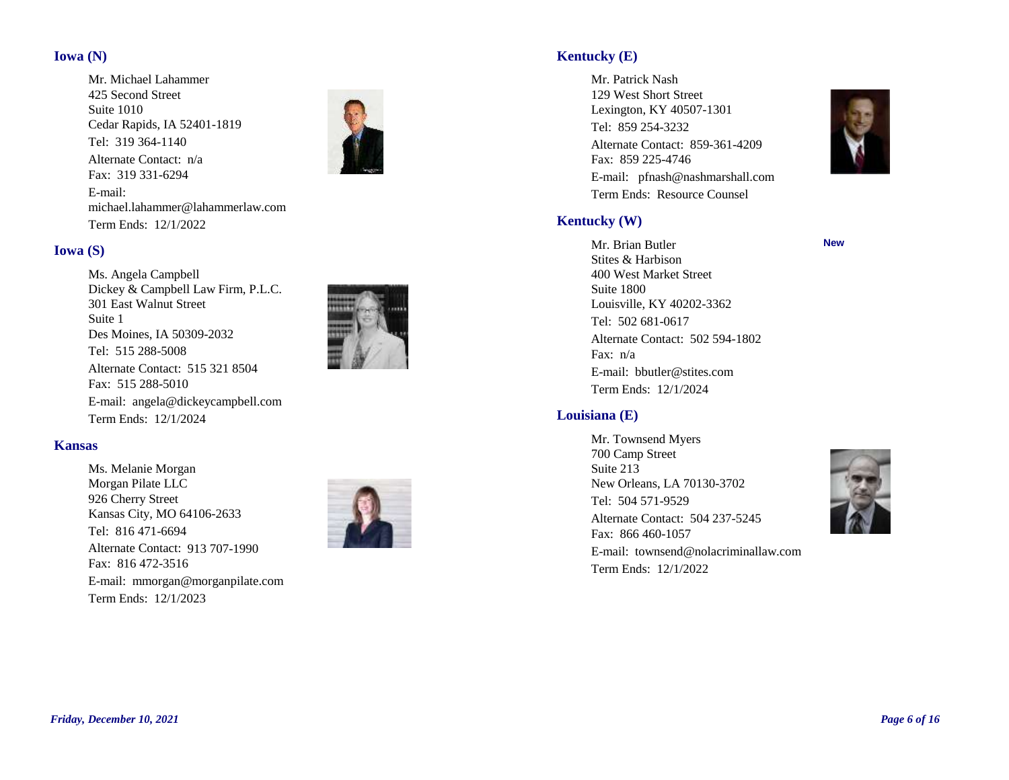### **Iowa (N)**

Tel: 319 364-1140 Fax: 319 331-6294 E-mail: michael.lahammer@lahammerlaw.com Term Ends: 12/1/2022 Mr. Michael Lahammer 425 Second Street Suite 1010 Cedar Rapids, IA 52401-1819 Alternate Contact: n/a



#### **Iowa (S)**

Tel: 515 288-5008 Fax: 515 288-5010 E-mail: angela@dickeycampbell.com Term Ends: 12/1/2024 Ms. Angela Campbell Dickey & Campbell Law Firm, P.L.C. 301 East Walnut Street Suite 1 Des Moines, IA 50309-2032 Alternate Contact: 515 321 8504



#### **Kansas**

Tel: 816 471-6694 Fax: 816 472-3516 E-mail: mmorgan@morganpilate.com Term Ends: 12/1/2023 Ms. Melanie Morgan Morgan Pilate LLC 926 Cherry Street Kansas City, MO 64106-2633 Alternate Contact: 913 707-1990



## **Kentucky (E)**

Tel: 859 254-3232 Fax: 859 225-4746 E-mail: pfnash@nashmarshall.com Term Ends: Resource Counsel Mr. Patrick Nash 129 West Short Street Lexington, KY 40507-1301 Alternate Contact: 859-361-4209



**New**

#### **Kentucky (W)**

Tel: 502 681-0617 Fax: n/a E-mail: bbutler@stites.com Term Ends: 12/1/2024 Mr. Brian Butler Stites & Harbison 400 West Market Street Suite 1800 Louisville, KY 40202-3362 Alternate Contact: 502 594-1802

## **Louisiana (E)**

Tel: 504 571-9529 Fax: 866 460-1057 E-mail: townsend@nolacriminallaw.com Term Ends: 12/1/2022 Mr. Townsend Myers 700 Camp Street Suite 213 New Orleans, LA 70130-3702 Alternate Contact: 504 237-5245

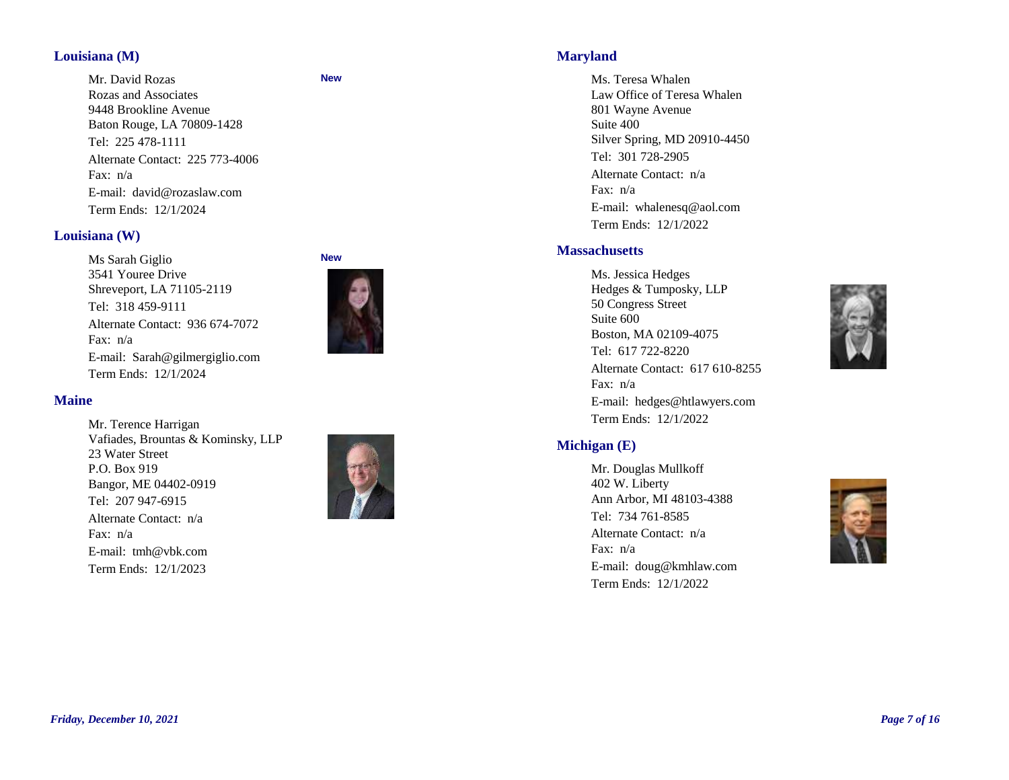#### **Louisiana (M)**

Tel: 225 478-1111 Fax: n/a E-mail: david@rozaslaw.com Term Ends: 12/1/2024 Mr. David Rozas Rozas and Associates 9448 Brookline Avenue Baton Rouge, LA 70809-1428 Alternate Contact: 225 773-4006

#### **Louisiana (W)**

Tel: 318 459-9111 Fax: n/a E-mail: Sarah@gilmergiglio.com Term Ends: 12/1/2024 Ms Sarah Giglio 3541 Youree Drive Shreveport, LA 71105-2119 Alternate Contact: 936 674-7072



**New**

#### **Maine**

Tel: 207 947-6915 Fax: n/a E-mail: tmh@vbk.com Term Ends: 12/1/2023 Mr. Terence Harrigan Vafiades, Brountas & Kominsky, LLP 23 Water Street P.O. Box 919 Bangor, ME 04402-0919 Alternate Contact: n/a



#### **Maryland**

Tel: 301 728-2905 Fax: n/a E-mail: whalenesq@aol.com Term Ends: 12/1/2022 Ms. Teresa Whalen Law Office of Teresa Whalen 801 Wayne Avenue Suite 400 Silver Spring, MD 20910-4450 Alternate Contact: n/a

#### **Massachusetts**

Tel: 617 722-8220 Fax: n/a E-mail: hedges@htlawyers.com Term Ends: 12/1/2022 Ms. Jessica Hedges Hedges & Tumposky, LLP 50 Congress Street Suite 600 Boston, MA 02109-4075 Alternate Contact: 617 610-8255



## **Michigan (E)**

Tel: 734 761-8585 Fax: n/a E-mail: doug@kmhlaw.com Term Ends: 12/1/2022 Mr. Douglas Mullkoff 402 W. Liberty Ann Arbor, MI 48103-4388 Alternate Contact: n/a

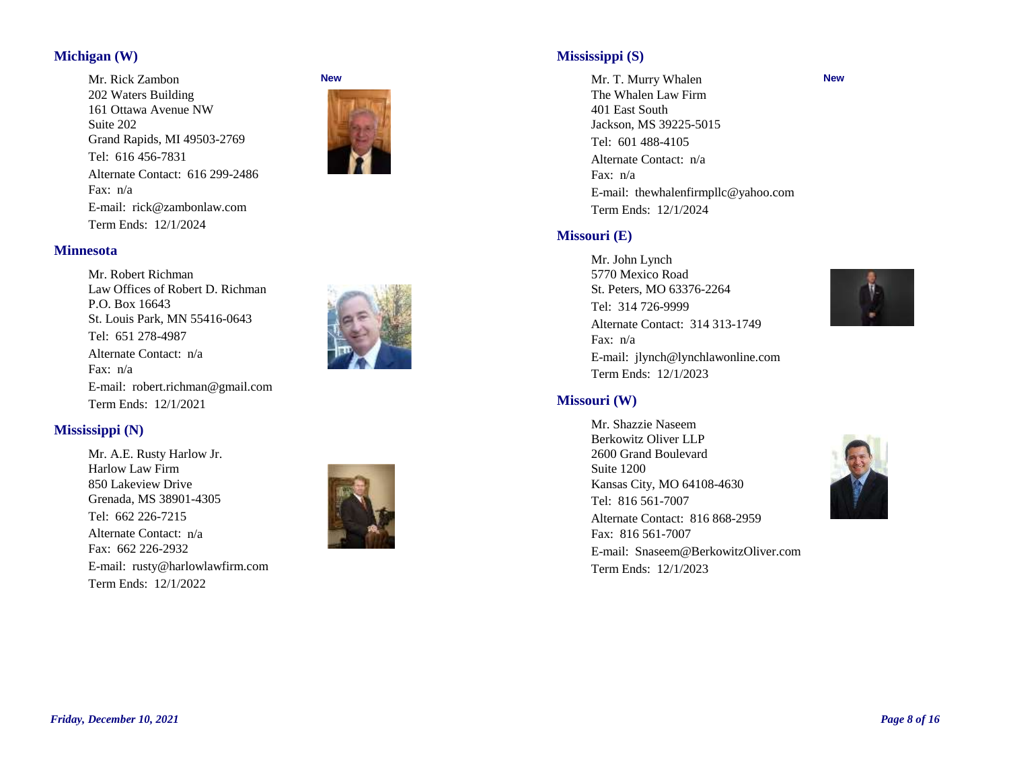## **Michigan (W)**

Tel: 616 456-7831 Fax: n/a E-mail: rick@zambonlaw.com Term Ends: 12/1/2024 Mr. Rick Zambon 202 Waters Building 161 Ottawa Avenue NW Suite 202 Grand Rapids, MI 49503-2769 Alternate Contact: 616 299-2486



#### **Minnesota**

Tel: 651 278-4987 Fax: n/a E-mail: robert.richman@gmail.com Term Ends: 12/1/2021 Mr. Robert Richman Law Offices of Robert D. Richman P.O. Box 16643 St. Louis Park, MN 55416-0643 Alternate Contact: n/a



## **Mississippi (N)**

Tel: 662 226-7215 Fax: 662 226-2932 E-mail: rusty@harlowlawfirm.com Mr. A.E. Rusty Harlow Jr. Harlow Law Firm 850 Lakeview Drive Grenada, MS 38901-4305 Alternate Contact: n/a

Term Ends: 12/1/2022



## **Mississippi (S)**

Tel: 601 488-4105 Fax: n/a E-mail: thewhalenfirmpllc@yahoo.com Term Ends: 12/1/2024 Mr. T. Murry Whalen The Whalen Law Firm 401 East South Jackson, MS 39225-5015 Alternate Contact: n/a

#### **Missouri (E)**

Tel: 314 726-9999 Fax: n/a E-mail: jlynch@lynchlawonline.com Term Ends: 12/1/2023 Mr. John Lynch 5770 Mexico Road St. Peters, MO 63376-2264 Alternate Contact: 314 313-1749



**New**

#### **Missouri (W)**

Tel: 816 561-7007 Fax: 816 561-7007 E-mail: Snaseem@BerkowitzOliver.com Term Ends: 12/1/2023 Mr. Shazzie Naseem Berkowitz Oliver LLP 2600 Grand Boulevard Suite 1200 Kansas City, MO 64108-4630 Alternate Contact: 816 868-2959

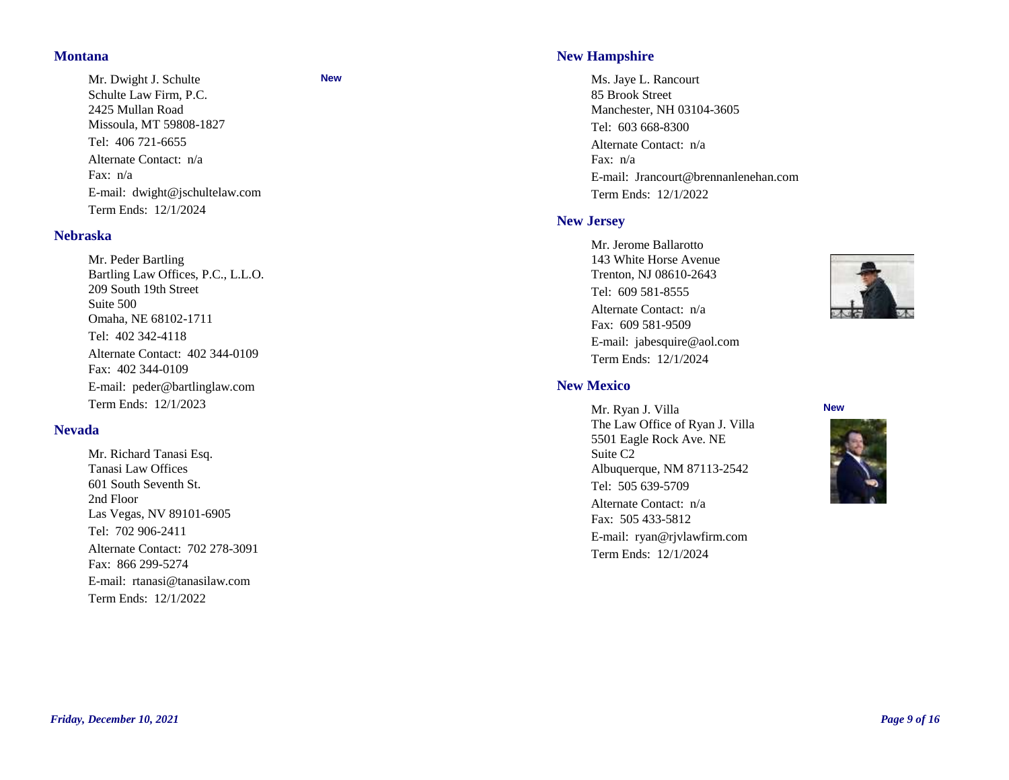#### **Montana**

Tel: 406 721-6655 Fax: n/a E-mail: dwight@jschultelaw.com Term Ends: 12/1/2024 Mr. Dwight J. Schulte Schulte Law Firm, P.C. 2425 Mullan Road Missoula, MT 59808-1827 Alternate Contact: n/a

#### **Nebraska**

Tel: 402 342-4118 Fax: 402 344-0109 E-mail: peder@bartlinglaw.com Term Ends: 12/1/2023 Mr. Peder Bartling Bartling Law Offices, P.C., L.L.O. 209 South 19th Street Suite 500 Omaha, NE 68102-1711 Alternate Contact: 402 344-0109

#### **Nevada**

Tel: 702 906-2411 Fax: 866 299-5274 E-mail: rtanasi@tanasilaw.com Term Ends: 12/1/2022 Mr. Richard Tanasi Esq. Tanasi Law Offices 601 South Seventh St. 2nd Floor Las Vegas, NV 89101-6905 Alternate Contact: 702 278-3091

#### **New**

## **New Hampshire**

Tel: 603 668-8300 Fax: n/a E-mail: Jrancourt@brennanlenehan.com Term Ends: 12/1/2022 Ms. Jaye L. Rancourt 85 Brook Street Manchester, NH 03104-3605 Alternate Contact: n/a

#### **New Jersey**

**New Mexico**

Tel: 609 581-8555 Fax: 609 581-9509 E-mail: jabesquire@aol.com Term Ends: 12/1/2024 Mr. Jerome Ballarotto 143 White Horse Avenue Trenton, NJ 08610-2643 Alternate Contact: n/a



Tel: 505 639-5709 Fax: 505 433-5812 E-mail: ryan@rjvlawfirm.com Term Ends: 12/1/2024 Mr. Ryan J. Villa The Law Office of Ryan J. Villa 5501 Eagle Rock Ave. NE Suite C2 Albuquerque, NM 87113-2542 Alternate Contact: n/a

**New**

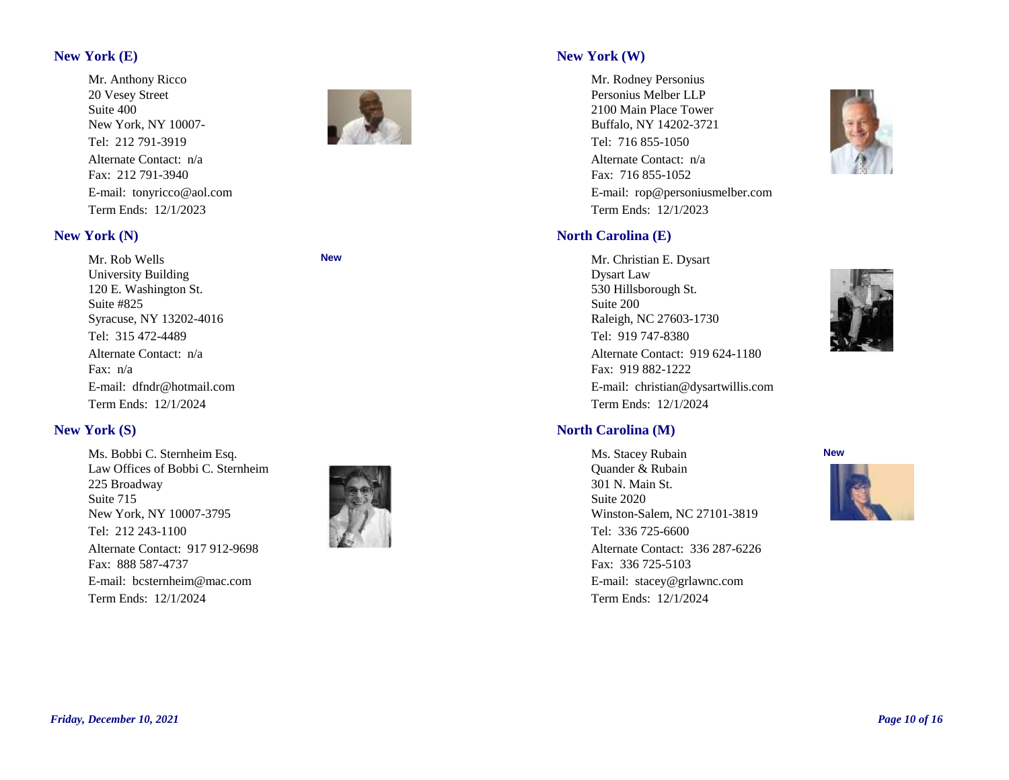## **New York (E)**

Tel: 212 791-3919 Fax: 212 791-3940 E-mail: tonyricco@aol.com Term Ends: 12/1/2023 Mr. Anthony Ricco 20 Vesey Street Suite 400 New York, NY 10007- Alternate Contact: n/a

#### **New York (N)**

Tel: 315 472-4489 Fax: n/a E-mail: dfndr@hotmail.com Term Ends: 12/1/2024 Mr. Rob Wells University Building 120 E. Washington St. Suite #825 Syracuse, NY 13202-4016 Alternate Contact: n/a

#### **New**

## **New York (S)**

Tel: 212 243-1100 Fax: 888 587-4737 E-mail: bcsternheim@mac.com Term Ends: 12/1/2024 Ms. Bobbi C. Sternheim Esq. Law Offices of Bobbi C. Sternheim 225 Broadway Suite 715 New York, NY 10007-3795 Alternate Contact: 917 912-9698



## **New York (W)**

Tel: 716 855-1050 Fax: 716 855-1052 E-mail: rop@personiusmelber.com Term Ends: 12/1/2023 Mr. Rodney Personius Personius Melber LLP 2100 Main Place Tower Buffalo, NY 14202-3721 Alternate Contact: n/a





## **North Carolina (M)**

Tel: 919 747-8380

Mr. Christian E. Dysart

Raleigh, NC 27603-1730

530 Hillsborough St.

Fax: 919 882-1222

Term Ends: 12/1/2024

**North Carolina (E)**

Dysart Law

Suite 200

Tel: 336 725-6600 Fax: 336 725-5103 E-mail: stacey@grlawnc.com Term Ends: 12/1/2024 Ms. Stacey Rubain Quander & Rubain 301 N. Main St. Suite 2020 Winston-Salem, NC 27101-3819 Alternate Contact: 336 287-6226

E-mail: christian@dysartwillis.com

Alternate Contact: 919 624-1180



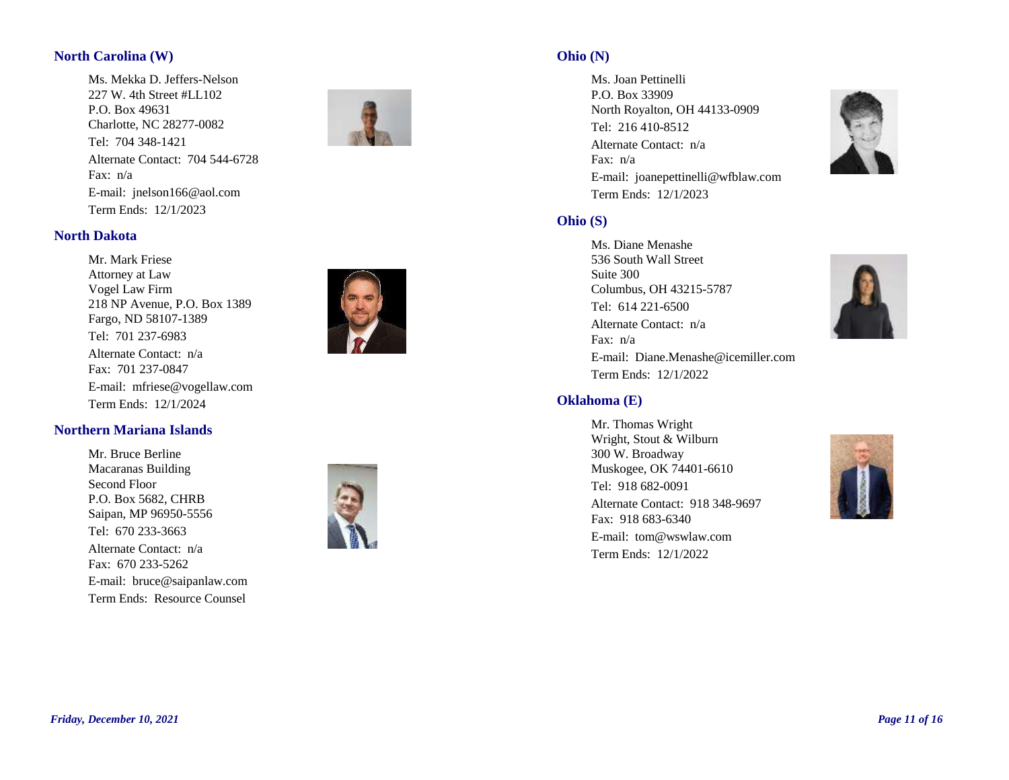## **North Carolina (W)**

Tel: 704 348-1421 Fax: n/a E-mail: jnelson166@aol.com Term Ends: 12/1/2023 Ms. Mekka D. Jeffers-Nelson 227 W. 4th Street #LL102 P.O. Box 49631 Charlotte, NC 28277-0082 Alternate Contact: 704 544-6728



#### **North Dakota**

Tel: 701 237-6983 Fax: 701 237-0847 E-mail: mfriese@vogellaw.com Term Ends: 12/1/2024 Mr. Mark Friese Attorney at Law Vogel Law Firm 218 NP Avenue, P.O. Box 1389 Fargo, ND 58107-1389 Alternate Contact: n/a



#### **Northern Mariana Islands**

Tel: 670 233-3663 Fax: 670 233-5262 E-mail: bruce@saipanlaw.com Term Ends: Resource Counsel Mr. Bruce Berline Macaranas Building Second Floor P.O. Box 5682, CHRB Saipan, MP 96950-5556 Alternate Contact: n/a



#### **Ohio (N)**

Tel: 216 410-8512 Fax: n/a E-mail: joanepettinelli@wfblaw.com Term Ends: 12/1/2023 Ms. Joan Pettinelli P.O. Box 33909 North Royalton, OH 44133-0909 Alternate Contact: n/a



## **Ohio (S)**

Tel: 614 221-6500 Fax: n/a E-mail: Diane.Menashe@icemiller.com Term Ends: 12/1/2022 Ms. Diane Menashe 536 South Wall Street Suite 300 Columbus, OH 43215-5787 Alternate Contact: n/a



Tel: 918 682-0091 Fax: 918 683-6340 E-mail: tom@wswlaw.com Term Ends: 12/1/2022 Mr. Thomas Wright Wright, Stout & Wilburn 300 W. Broadway Muskogee, OK 74401-6610 Alternate Contact: 918 348-9697



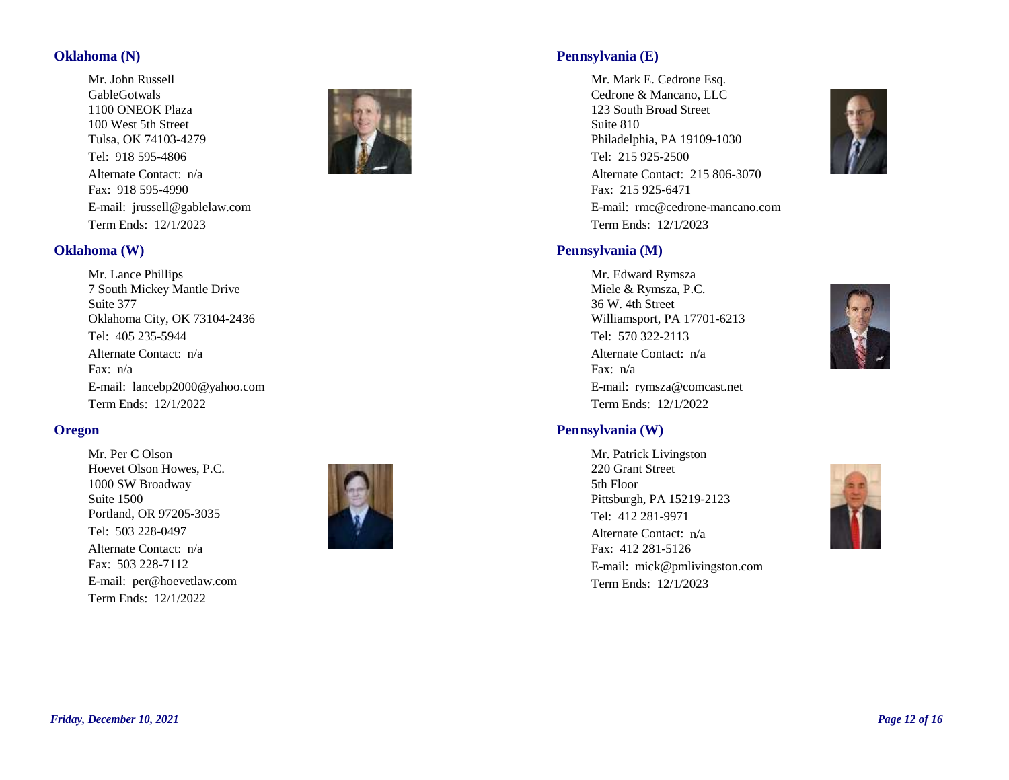#### **Oklahoma (N)**

Tel: 918 595-4806 Fax: 918 595-4990 E-mail: jrussell@gablelaw.com Term Ends: 12/1/2023 Mr. John Russell GableGotwals 1100 ONEOK Plaza 100 West 5th Street Tulsa, OK 74103-4279 Alternate Contact: n/a



#### **Oklahoma (W)**

Tel: 405 235-5944 Fax: n/a E-mail: lancebp2000@yahoo.com Term Ends: 12/1/2022 Mr. Lance Phillips 7 South Mickey Mantle Drive Suite 377 Oklahoma City, OK 73104-2436 Alternate Contact: n/a

#### **Oregon**

Tel: 503 228-0497 Fax: 503 228-7112 E-mail: per@hoevetlaw.com Term Ends: 12/1/2022 Mr. Per C Olson Hoevet Olson Howes, P.C. 1000 SW Broadway Suite 1500 Portland, OR 97205-3035 Alternate Contact: n/a



## **Pennsylvania (E)**

Tel: 215 925-2500 Fax: 215 925-6471 E-mail: rmc@cedrone-mancano.com Term Ends: 12/1/2023 Mr. Mark E. Cedrone Esq. Cedrone & Mancano, LLC 123 South Broad Street Suite 810 Philadelphia, PA 19109-1030 Alternate Contact: 215 806-3070



## **Pennsylvania (M)**

Tel: 570 322-2113 Fax: n/a E-mail: rymsza@comcast.net Term Ends: 12/1/2022 Mr. Edward Rymsza Miele & Rymsza, P.C. 36 W. 4th Street Williamsport, PA 17701-6213 Alternate Contact: n/a



#### **Pennsylvania (W)**

Tel: 412 281-9971 Fax: 412 281-5126 E-mail: mick@pmlivingston.com Term Ends: 12/1/2023 Mr. Patrick Livingston 220 Grant Street 5th Floor Pittsburgh, PA 15219-2123 Alternate Contact: n/a

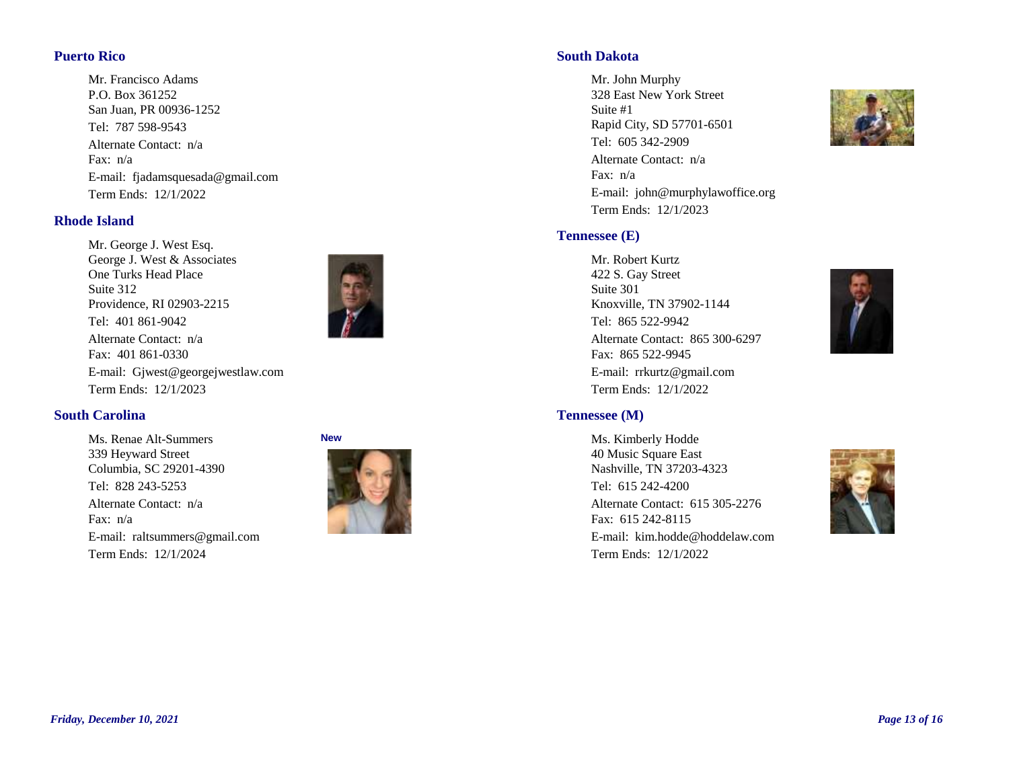## **Puerto Rico**

Tel: 787 598-9543 Fax: n/a E-mail: fjadamsquesada@gmail.com Term Ends: 12/1/2022 Mr. Francisco Adams P.O. Box 361252 San Juan, PR 00936-1252 Alternate Contact: n/a

#### **Rhode Island**

Tel: 401 861-9042 Fax: 401 861-0330 E-mail: Gjwest@georgejwestlaw.com Term Ends: 12/1/2023 Mr. George J. West Esq. George J. West & Associates One Turks Head Place Suite 312 Providence, RI 02903-2215 Alternate Contact: n/a



#### **South Carolina**

Tel: 828 243-5253 Fax: n/a E-mail: raltsummers@gmail.com Term Ends: 12/1/2024 Ms. Renae Alt-Summers 339 Heyward Street Columbia, SC 29201-4390 Alternate Contact: n/a



## **South Dakota**

Tel: 605 342-2909 Fax: n/a E-mail: john@murphylawoffice.org Term Ends: 12/1/2023 Mr. John Murphy 328 East New York Street Suite #1 Rapid City, SD 57701-6501 Alternate Contact: n/a

## **Tennessee (E)**

## Tel: 865 522-9942 Fax: 865 522-9945 E-mail: rrkurtz@gmail.com Term Ends: 12/1/2022 Mr. Robert Kurtz 422 S. Gay Street Suite 301 Knoxville, TN 37902-1144 Alternate Contact: 865 300-6297



## **Tennessee (M)**

Tel: 615 242-4200 Fax: 615 242-8115 E-mail: kim.hodde@hoddelaw.com Term Ends: 12/1/2022 Ms. Kimberly Hodde 40 Music Square East Nashville, TN 37203-4323 Alternate Contact: 615 305-2276

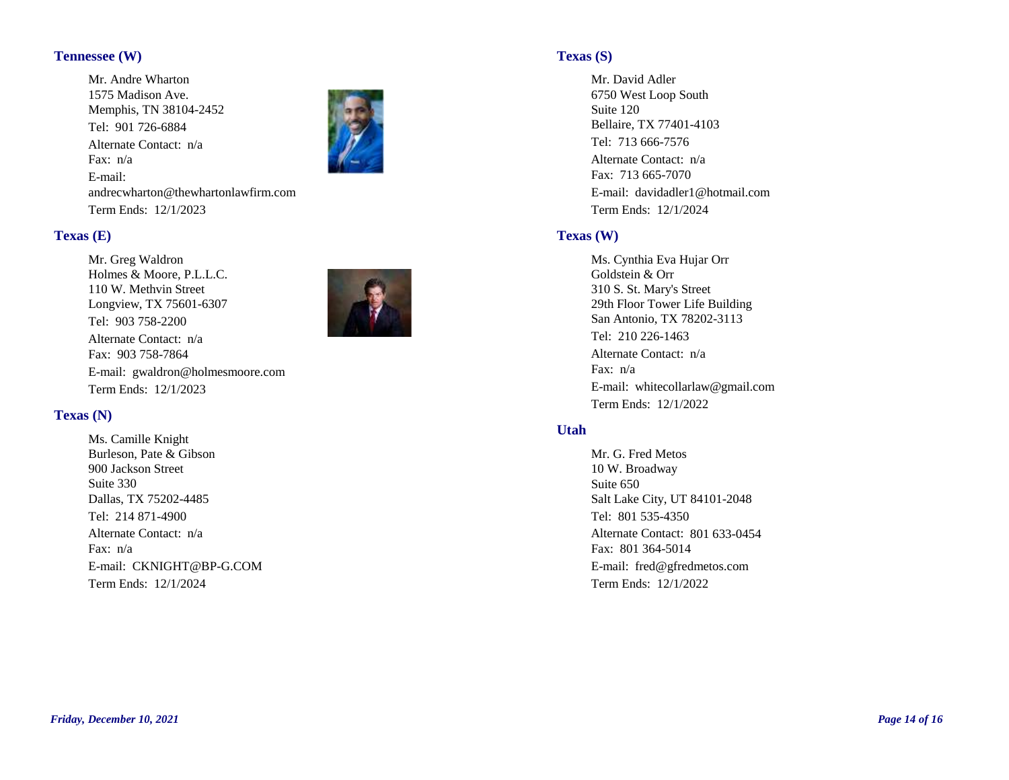### **Tennessee (W)**

Tel: 901 726-6884 Fax: n/a E-mail: andrecwharton@thewhartonlawfirm.com Term Ends: 12/1/2023 Mr. Andre Wharton 1575 Madison Ave. Memphis, TN 38104-2452 Alternate Contact: n/a



#### **Texas (E)**

Tel: 903 758-2200 Fax: 903 758-7864 E-mail: gwaldron@holmesmoore.com Term Ends: 12/1/2023 Mr. Greg Waldron Holmes & Moore, P.L.L.C. 110 W. Methvin Street Longview, TX 75601-6307 Alternate Contact: n/a

#### **Texas (N)**

Tel: 214 871-4900 Fax: n/a E-mail: CKNIGHT@BP-G.COM Term Ends: 12/1/2024 Ms. Camille Knight Burleson, Pate & Gibson 900 Jackson Street Suite 330 Dallas, TX 75202-4485 Alternate Contact: n/a

#### **Texas (S)**

Tel: 713 666-7576 Fax: 713 665-7070 E-mail: davidadler1@hotmail.com Term Ends: 12/1/2024 Mr. David Adler 6750 West Loop South Suite 120 Bellaire, TX 77401-4103 Alternate Contact: n/a

#### **Texas (W)**

Tel: 210 226-1463 Fax: n/a E-mail: whitecollarlaw@gmail.com Term Ends: 12/1/2022 Ms. Cynthia Eva Hujar Orr Goldstein & Orr 310 S. St. Mary's Street 29th Floor Tower Life Building San Antonio, TX 78202-3113 Alternate Contact: n/a

#### **Utah**

Tel: 801 535-4350 Fax: 801 364-5014 E-mail: fred@gfredmetos.com Term Ends: 12/1/2022 Mr. G. Fred Metos 10 W. Broadway Suite 650 Salt Lake City, UT 84101-2048 Alternate Contact: 801 633-0454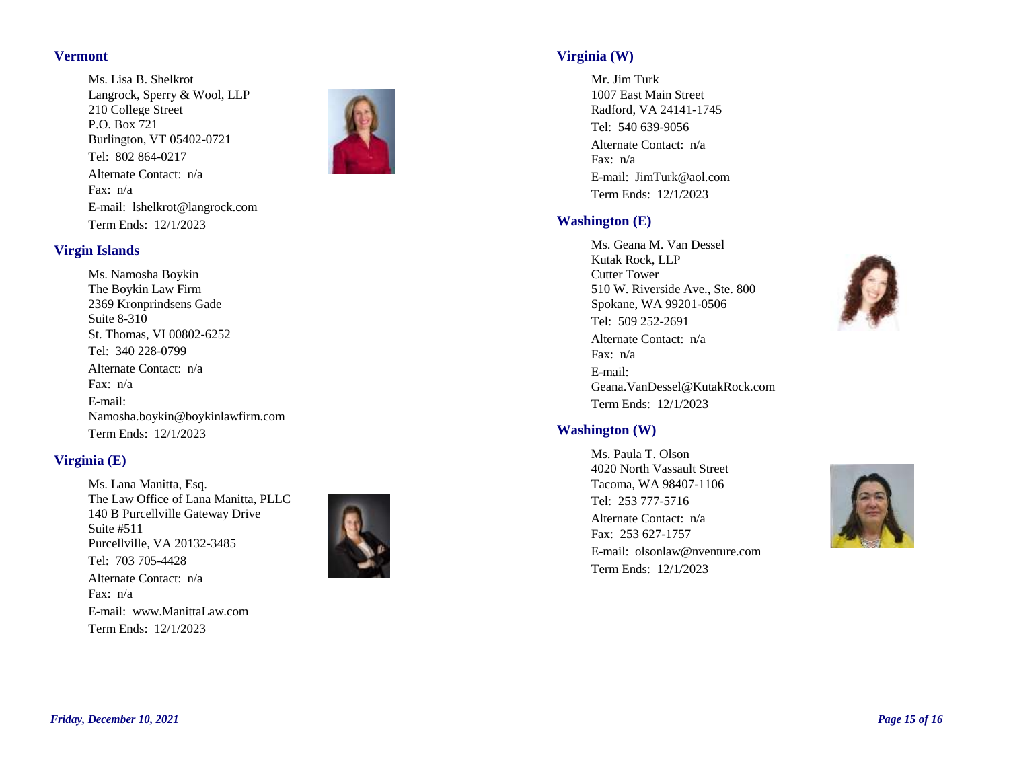#### **Vermont**

Tel: 802 864-0217 Fax: n/a E-mail: lshelkrot@langrock.com Term Ends: 12/1/2023 Ms. Lisa B. Shelkrot Langrock, Sperry & Wool, LLP 210 College Street P.O. Box 721 Burlington, VT 05402-0721 Alternate Contact: n/a



## **Virgin Islands**

Tel: 340 228-0799 Fax: n/a E-mail: Namosha.boykin@boykinlawfirm.com Term Ends: 12/1/2023 Ms. Namosha Boykin The Boykin Law Firm 2369 Kronprindsens Gade Suite 8-310 St. Thomas, VI 00802-6252 Alternate Contact: n/a

## **Virginia (E)**

Tel: 703 705-4428 Fax: n/a E-mail: www.ManittaLaw.com Term Ends: 12/1/2023 Ms. Lana Manitta, Esq. The Law Office of Lana Manitta, PLLC 140 B Purcellville Gateway Drive Suite #511 Purcellville, VA 20132-3485 Alternate Contact: n/a



## **Virginia (W)**

Tel: 540 639-9056 Fax: n/a E-mail: JimTurk@aol.com Term Ends: 12/1/2023 Mr. Jim Turk 1007 East Main Street Radford, VA 24141-1745 Alternate Contact: n/a

## **Washington (E)**

Tel: 509 252-2691 Fax: n/a E-mail: Geana.VanDessel@KutakRock.com Term Ends: 12/1/2023 Ms. Geana M. Van Dessel Kutak Rock, LLP Cutter Tower 510 W. Riverside Ave., Ste. 800 Spokane, WA 99201-0506 Alternate Contact: n/a



Tel: 253 777-5716 Fax: 253 627-1757 E-mail: olsonlaw@nventure.com Term Ends: 12/1/2023 Ms. Paula T. Olson 4020 North Vassault Street Tacoma, WA 98407-1106 Alternate Contact: n/a